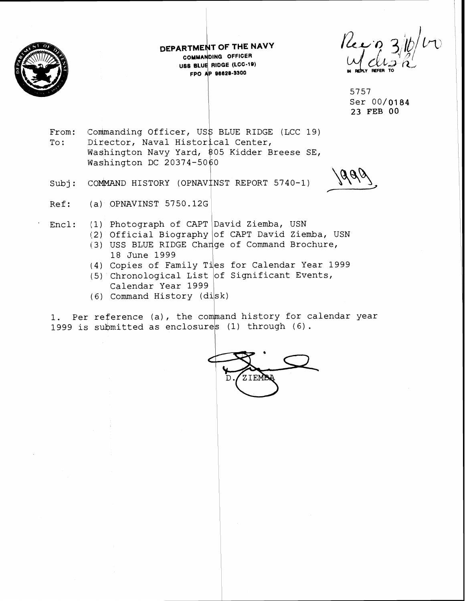

**DEPARTME T OF THE NAVY COMMANDING OFFICER uss BLUE RIDGE (LCC-19)**<br>FPO AP 96628-3300 **FRO AD AD AD AD AD AD AD AD AD SECT AND AP 96628-3300** 

5757 Ser 00/0184 23 FEB **00** 

From: Commanding Officer, US\$ BLUE RIDGE (LCC 19) To: Director, Naval Historical Center, Washington Navy Yard, \$05 Kidder Breese SE, Washington DC  $20374-5060$ 

Subj: COMMAND HISTORY (OPNAVINST REPORT 5740-1)

Ref: (a) OPNAVINST 5750.12G

Encl:  $(1)$  Photograph of CAPT David Ziemba, USN

- $(2)$  Official Biography of CAPT David Ziemba, USN (3) USS BLUE RIDGE Change of Command Brochure, 18 June 1999
- (4) Copies of Family Ties for Calendar Year 1999
- (5) Chronological List of Significant Events, Calendar Year 1999
- (6) Command

1. Per reference (a), the command history for calendar year 1999 is submitted as enclosures (1) through (6).

ZIEMBI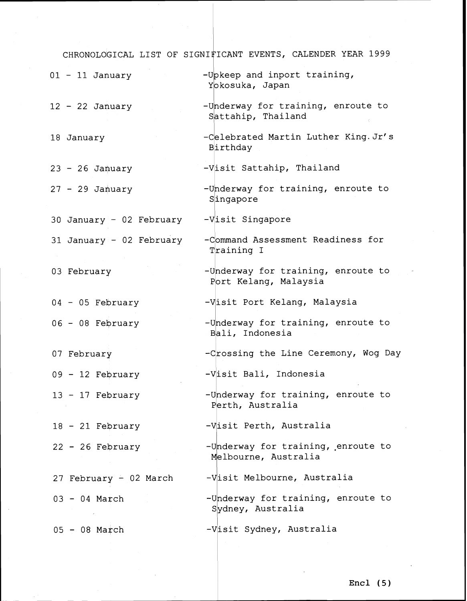|                          | CHRONOLOGICAL LIST OF SIGNIFICANT EVENTS, CALENDER YEAR 1999 |
|--------------------------|--------------------------------------------------------------|
| $01 - 11$ January        | -Upkeep and inport training,<br>Yokosuka, Japan              |
| $12 - 22$ January        | -Underway for training, enroute to<br>Sattahip, Thailand     |
| 18 January               | -Celebrated Martin Luther King. Jr's<br>Birthday             |
| $23 - 26$ January        | -Visit Sattahip, Thailand                                    |
| $27 - 29$ January        | -Underway for training, enroute to<br>Singapore              |
| 30 January - 02 February | -Visit Singapore                                             |
| 31 January - 02 February | -Command Assessment Readiness for<br>Training I              |
| 03 February              | -Underway for training, enroute to<br>Port Kelang, Malaysia  |
| $04 - 05$ February       | -Visit Port Kelang, Malaysia                                 |
| 06 - 08 February         | -Underway for training, enroute to<br>Bali, Indonesia        |
| 07 February              | -Crossing the Line Ceremony, Wog Day                         |
| $09 - 12$ February       | -Visit Bali, Indonesia                                       |
| $13 - 17$ February       | -Underway for training, enroute to<br>Perth, Australia       |
| $18 - 21$ February       | -Visit Perth, Australia                                      |
| $22 - 26$ February       | -Underway for training, enroute to<br>Melbourne, Australia   |
| 27 February - 02 March   | -Visit Melbourne, Australia                                  |
| $03 - 04$ March          | -Underway for training, enroute to<br>Sydney, Australia      |
| $05 - 08$ March          | -Visit Sydney, Australia                                     |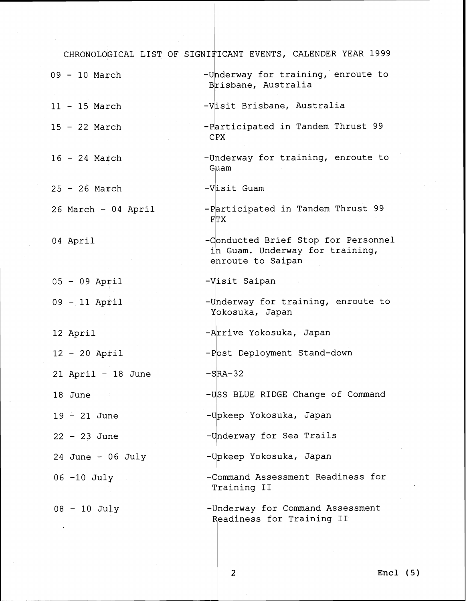|                      | CHRONOLOGICAL LIST OF SIGNIFICANT EVENTS, CALENDER YEAR 1999                                |
|----------------------|---------------------------------------------------------------------------------------------|
| $09 - 10$ March      | -Underway for training, enroute to<br>Brisbane, Australia                                   |
| $11 - 15$ March      | -Visit Brisbane, Australia                                                                  |
| $15 - 22$ March      | -Participated in Tandem Thrust 99<br>$C$ $PX$                                               |
| $16 - 24$ March      | -Underway for training, enroute to<br>Guam                                                  |
| $25 - 26$ March      | -Visit Guam                                                                                 |
| 26 March - 04 April  | -Participated in Tandem Thrust 99<br><b>FTX</b>                                             |
| 04 April             | -Conducted Brief Stop for Personnel<br>in Guam. Underway for training,<br>enroute to Saipan |
| $05 - 09$ April      | -Visit Saipan                                                                               |
| $09 - 11$ April      | -Underway for training, enroute to<br>Yokosuka, Japan                                       |
| 12 April             | -Arrive Yokosuka, Japan                                                                     |
| $12 - 20$ April      | -Post Deployment Stand-down                                                                 |
| $21$ April - 18 June | $-SRA-32$                                                                                   |
| 18 June              | -USS BLUE RIDGE Change of Command                                                           |
| $19 - 21$ June       | -Upkeep Yokosuka, Japan                                                                     |
| $22 - 23$ June       | -Underway for Sea Trails                                                                    |
| 24 June - $06$ July  | -Upkeep Yokosuka, Japan                                                                     |
| 06 -10 July          | -Command Assessment Readiness for<br>Training II                                            |
| $08 - 10$ July       | -Underway for Command Assessment<br>Readiness for Training II                               |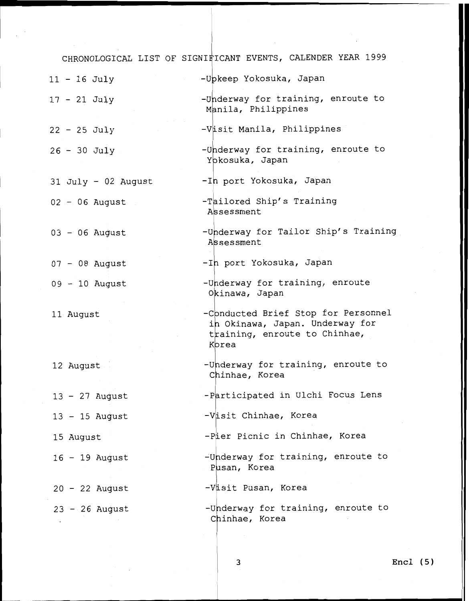CHRONOLOGICAL LIST OF SIGNIFICANT EVENTS, CALENDER YEAR 1999

| $11 - 16$ July        | -Upkeep Yokosuka, Japan                                                                                          |
|-----------------------|------------------------------------------------------------------------------------------------------------------|
| 17 - 21 July          | -Underway for training, enroute to<br>Manila, Philippines                                                        |
| $22 - 25$ July        | -Visit Manila, Philippines                                                                                       |
| $26 - 30$ July        | -Underway for training, enroute to<br>Yokosuka, Japan                                                            |
| $31$ July - 02 August | -Ih port Yokosuka, Japan                                                                                         |
| $02 - 06$ August      | -Tailored Ship's Training<br>Assessment                                                                          |
| $03 - 06$ August      | -Underway for Tailor Ship's Training<br>Assessment                                                               |
| $07 - 08$ August      | -In port Yokosuka, Japan                                                                                         |
| $09 - 10$ August      | -Underway for training, enroute<br>Okinawa, Japan                                                                |
| 11 August             | -Conducted Brief Stop for Personnel<br>in Okinawa, Japan. Underway for<br>training, enroute to Chinhae,<br>Korea |
| 12 August             | -Underway for training, enroute to<br>Chinhae, Korea                                                             |
| $13 - 27$ August      | -Participated in Ulchi Focus Lens                                                                                |
| $13 - 15$ August      | -Visit Chinhae, Korea                                                                                            |
| 15 August             | -Pier Picnic in Chinhae, Korea                                                                                   |
| $16 - 19$ August      | -Underway for training, enroute to<br>Pusan, Korea                                                               |
| $20 - 22$ August      | -Visit Pusan, Korea                                                                                              |
| $23 - 26$ August      | -Underway for training, enroute to<br>Chinhae, Korea                                                             |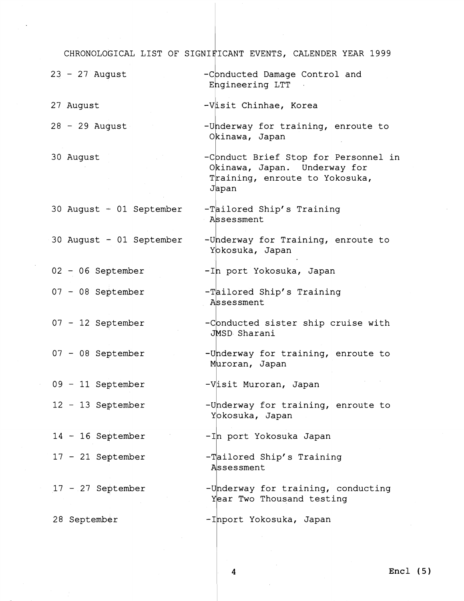CHRONOLOGICAL LIST OF SIGNIFICANT EVENTS, CALENDER YEAR 1999

| $23 - 27$ August         | -Conducted Damage Control and<br>Engineering LTT                                                                |
|--------------------------|-----------------------------------------------------------------------------------------------------------------|
| 27 August                | -Visit Chinhae, Korea                                                                                           |
| $28 - 29$ August         | -Underway for training, enroute to<br>Okinawa, Japan                                                            |
| 30 August                | -Conduct Brief Stop for Personnel in<br>Okinawa, Japan. Underway for<br>Training, enroute to Yokosuka,<br>Japan |
| 30 August + 01 September | -Tailored Ship's Training<br>Assessment                                                                         |
| 30 August - 01 September | -Underway for Training, enroute to<br>Yokosuka, Japan                                                           |
| 02 - 06 September        | -In port Yokosuka, Japan                                                                                        |
| $07 - 08$ September      | -Tailored Ship's Training<br>Assessment                                                                         |
| 07 - 12 September        | -Conducted sister ship cruise with<br>JMSD Sharani                                                              |
| 07 - 08 September        | -Underway for training, enroute to<br>Muroran, Japan                                                            |
| 09 - 11 September        | -Visit Muroran, Japan                                                                                           |
| 12 - 13 September        | -Underway for training, enroute to<br>Yokosuka, Japan                                                           |
| $14 - 16$ September      | -In port Yokosuka Japan                                                                                         |
| $17 - 21$ September      | -Tailored Ship's Training<br>Assessment                                                                         |
| $17 - 27$ September      | -Underway for training, conducting<br>Year Two Thousand testing                                                 |
| 28 September             | -Inport Yokosuka, Japan                                                                                         |

 $\sim$ 

 $\pmb{4}$